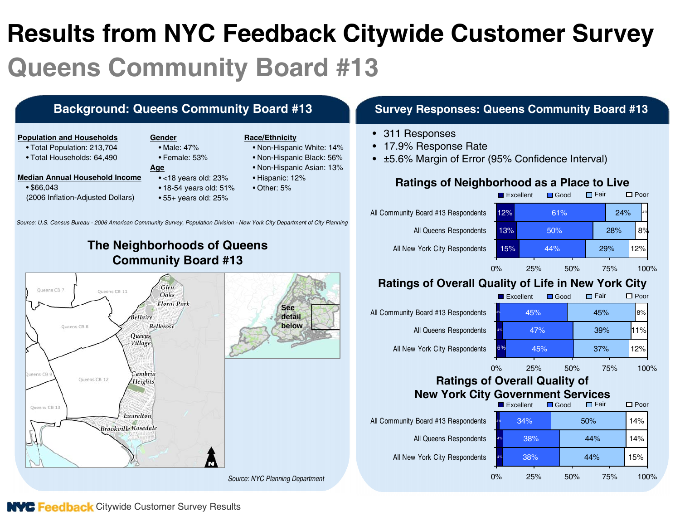# **Results from NYC Feedback Citywide Customer Survey Queens Community Board #13**

• Male: 47%

#### **Population and Households**

- Total Population: 213,704
- Total Households: 64,490

- **Median Annual Household Income**
	- \$66,043 (2006 Inflation-Adjusted Dollars)
- Female: 53%**Age**

**Gender**

- <18 years old: 23%
- 18-54 years old: 51%
- 55+ years old: 25%

#### **Race/Ethnicity**

- Non-Hispanic White: 14%
- Non-Hispanic Black: 56%
- Non-Hispanic Asian: 13%
- Hispanic: 12%
- Other: 5%

#### **Background: Queens Community Board #13 Survey Responses: Queens Community Board #13**

- 311 Responses
- 17.9% Response Rate
- <sup>±</sup>5.6% Margin of Error (95% Confidence Interval)

#### **Ratings of Neighborhood as a Place to Live**



### **Ratings of Overall Quality of Life in New York City**



#### **Ratings of Overall Quality of New York City Government Services**



*Source: U.S. Census Bureau - 2006 American Community Survey, Population Division - New York City Department of City Planning*

# **The Neighborhoods of Queens Community Board #13**



**NVC Feedback** Citywide Customer Survey Results